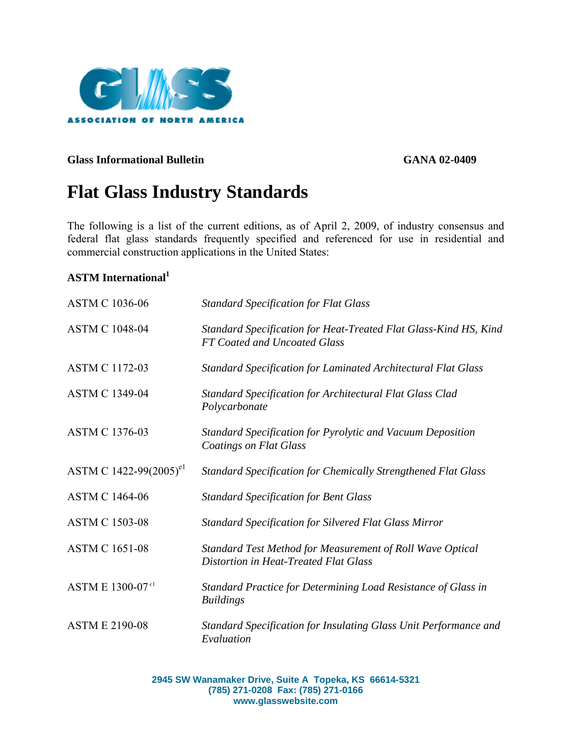

### Glass Informational Bulletin GANA 02-0409

# **Flat Glass Industry Standards**

The following is a list of the current editions, as of April 2, 2009, of industry consensus and federal flat glass standards frequently specified and referenced for use in residential and commercial construction applications in the United States:

# **ASTM International1**

| <b>ASTM C 1036-06</b>              | <b>Standard Specification for Flat Glass</b>                                                       |
|------------------------------------|----------------------------------------------------------------------------------------------------|
| <b>ASTM C 1048-04</b>              | Standard Specification for Heat-Treated Flat Glass-Kind HS, Kind<br>FT Coated and Uncoated Glass   |
| <b>ASTM C 1172-03</b>              | <b>Standard Specification for Laminated Architectural Flat Glass</b>                               |
| <b>ASTM C 1349-04</b>              | <b>Standard Specification for Architectural Flat Glass Clad</b><br>Polycarbonate                   |
| <b>ASTM C 1376-03</b>              | <b>Standard Specification for Pyrolytic and Vacuum Deposition</b><br><b>Coatings on Flat Glass</b> |
| ASTM C 1422-99(2005) <sup>e1</sup> | <b>Standard Specification for Chemically Strengthened Flat Glass</b>                               |
| <b>ASTM C 1464-06</b>              | <b>Standard Specification for Bent Glass</b>                                                       |
| <b>ASTM C 1503-08</b>              | <b>Standard Specification for Silvered Flat Glass Mirror</b>                                       |
| <b>ASTM C 1651-08</b>              | Standard Test Method for Measurement of Roll Wave Optical<br>Distortion in Heat-Treated Flat Glass |
| ASTM E 1300-07 <sup>e1</sup>       | Standard Practice for Determining Load Resistance of Glass in<br><b>Buildings</b>                  |
| <b>ASTM E 2190-08</b>              | Standard Specification for Insulating Glass Unit Performance and<br>Evaluation                     |

**2945 SW Wanamaker Drive, Suite A Topeka, KS 66614-5321 (785) 271-0208 Fax: (785) 271-0166 www.glasswebsite.com**